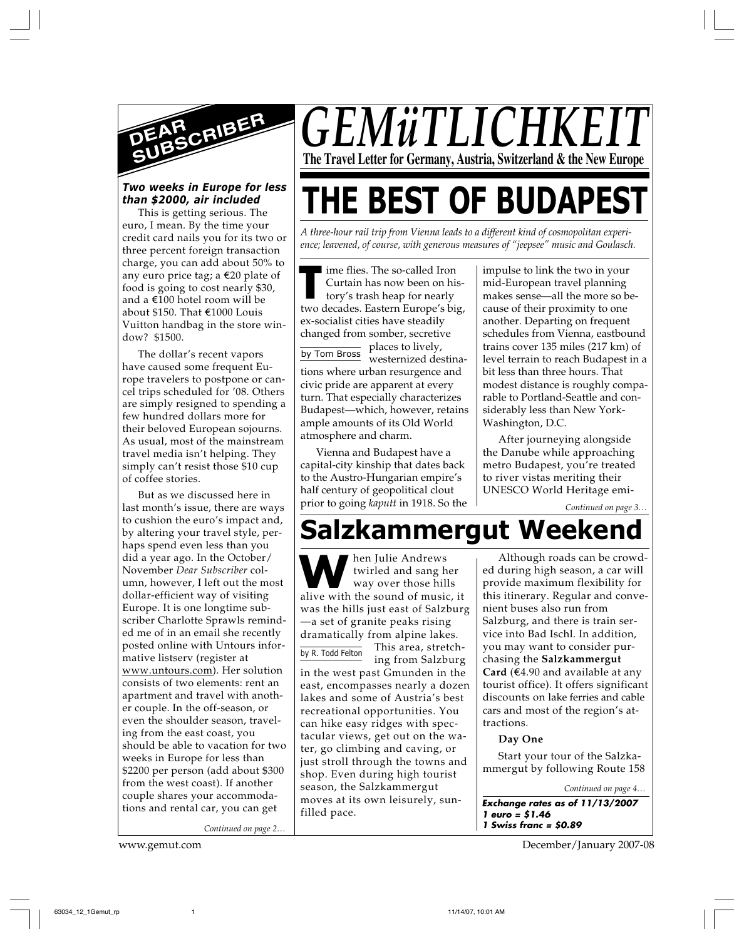

#### *Two weeks in Europe for less than \$2000, air included*

This is getting serious. The euro, I mean. By the time your credit card nails you for its two or three percent foreign transaction charge, you can add about 50% to any euro price tag; a  $\epsilon$ 20 plate of food is going to cost nearly \$30, and a E100 hotel room will be about \$150. That E1000 Louis Vuitton handbag in the store window? \$1500.

The dollar's recent vapors have caused some frequent Europe travelers to postpone or cancel trips scheduled for '08. Others are simply resigned to spending a few hundred dollars more for their beloved European sojourns. As usual, most of the mainstream travel media isn't helping. They simply can't resist those \$10 cup of coffee stories.

But as we discussed here in last month's issue, there are ways to cushion the euro's impact and, by altering your travel style, perhaps spend even less than you did a year ago. In the October/ November *Dear Subscriber* column, however, I left out the most dollar-efficient way of visiting Europe. It is one longtime subscriber Charlotte Sprawls reminded me of in an email she recently posted online with Untours informative listserv (register at www.untours.com). Her solution consists of two elements: rent an apartment and travel with another couple. In the off-season, or even the shoulder season, traveling from the east coast, you should be able to vacation for two weeks in Europe for less than \$2200 per person (add about \$300 from the west coast). If another couple shares your accommodations and rental car, you can get

*Continued on page 2…*

*GEMüTLICHK* **The Travel Letter for Germany, Austria, Switzerland & the New Europe**

# **THE BEST OF BUDAPEST**

*A three-hour rail trip from Vienna leads to a different kind of cosmopolitan experience; leavened, of course, with generous measures of "jeepsee" music and Goulasch.*

**The so-called Iron**<br>
Curtain has now been on his-<br>
tory's trash heap for nearly<br>
two decades. Eastern Europe's big, ime flies. The so-called Iron Curtain has now been on history's trash heap for nearly ex-socialist cities have steadily changed from somber, secretive places to lively,

by Tom Bross westernized destinations where urban resurgence and civic pride are apparent at every turn. That especially characterizes Budapest—which, however, retains ample amounts of its Old World atmosphere and charm.

Vienna and Budapest have a capital-city kinship that dates back to the Austro-Hungarian empire's half century of geopolitical clout prior to going *kaputt* in 1918. So the

impulse to link the two in your mid-European travel planning makes sense—all the more so because of their proximity to one another. Departing on frequent schedules from Vienna, eastbound trains cover 135 miles (217 km) of level terrain to reach Budapest in a bit less than three hours. That modest distance is roughly comparable to Portland-Seattle and considerably less than New York-Washington, D.C.

After journeying alongside the Danube while approaching metro Budapest, you're treated to river vistas meriting their UNESCO World Heritage emi-

*Continued on page 3…*

## **Salzkammergut Weekend**

**W**ben Julie Andrews<br>
twirled and sang her<br>
way over those hills<br>
alive with the sound of music, it hen Julie Andrews twirled and sang her way over those hills was the hills just east of Salzburg —a set of granite peaks rising dramatically from alpine lakes. This area, stretching from Salzburg by R. Todd Felton

in the west past Gmunden in the east, encompasses nearly a dozen lakes and some of Austria's best recreational opportunities. You can hike easy ridges with spectacular views, get out on the water, go climbing and caving, or just stroll through the towns and shop. Even during high tourist season, the Salzkammergut moves at its own leisurely, sunfilled pace.

Although roads can be crowded during high season, a car will provide maximum flexibility for this itinerary. Regular and convenient buses also run from Salzburg, and there is train service into Bad Ischl. In addition, you may want to consider purchasing the **Salzkammergut Card** ( $\epsilon$ 4.90 and available at any tourist office). It offers significant discounts on lake ferries and cable cars and most of the region's attractions.

**Day One**

**1 Swiss franc = \$0.89**

Start your tour of the Salzkammergut by following Route 158

**Exchange rates as of 11/13/2007 1 euro = \$1.46** *Continued on page 4…*

www.gemut.com December/January 2007-08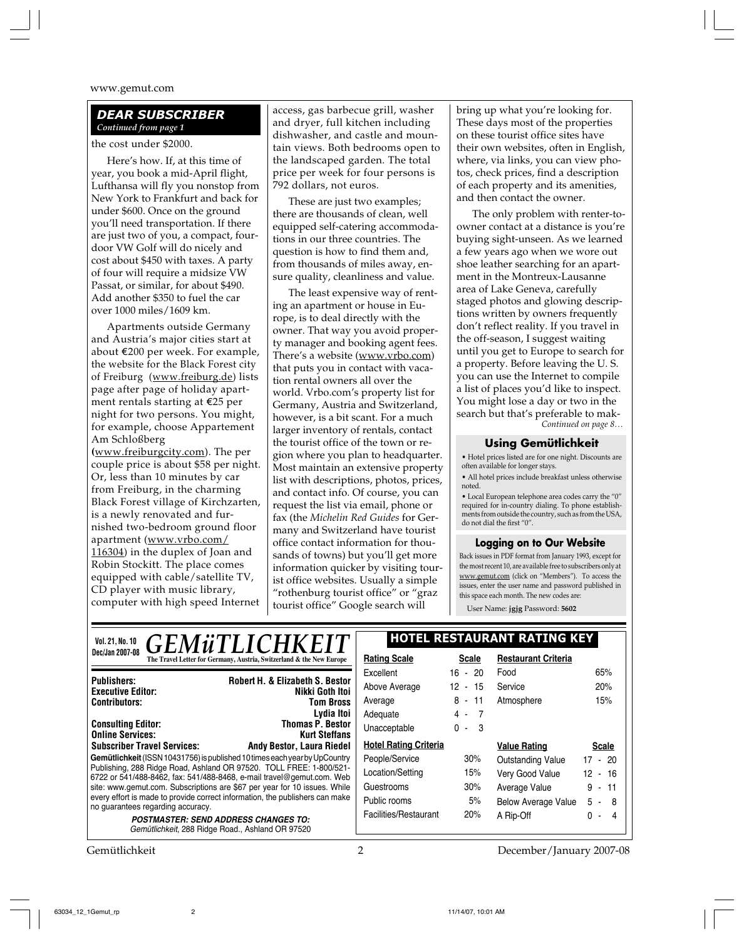#### *DEAR SUBSCRIBER Continued from page 1*

the cost under \$2000.

Here's how. If, at this time of year, you book a mid-April flight, Lufthansa will fly you nonstop from New York to Frankfurt and back for under \$600. Once on the ground you'll need transportation. If there are just two of you, a compact, fourdoor VW Golf will do nicely and cost about \$450 with taxes. A party of four will require a midsize VW Passat, or similar, for about \$490. Add another \$350 to fuel the car over 1000 miles/1609 km.

Apartments outside Germany and Austria's major cities start at about E200 per week. For example, the website for the Black Forest city of Freiburg (www.freiburg.de) lists page after page of holiday apartment rentals starting at E25 per night for two persons. You might, for example, choose Appartement Am Schloßberg **(**www.freiburgcity.com). The per couple price is about \$58 per night. Or, less than 10 minutes by car from Freiburg, in the charming Black Forest village of Kirchzarten, is a newly renovated and furnished two-bedroom ground floor apartment (www.vrbo.com/ 116304) in the duplex of Joan and Robin Stockitt. The place comes equipped with cable/satellite TV, CD player with music library, computer with high speed Internet

access, gas barbecue grill, washer and dryer, full kitchen including dishwasher, and castle and mountain views. Both bedrooms open to the landscaped garden. The total price per week for four persons is 792 dollars, not euros.

These are just two examples; there are thousands of clean, well equipped self-catering accommodations in our three countries. The question is how to find them and, from thousands of miles away, ensure quality, cleanliness and value.

The least expensive way of renting an apartment or house in Europe, is to deal directly with the owner. That way you avoid property manager and booking agent fees. There's a website (www.vrbo.com) that puts you in contact with vacation rental owners all over the world. Vrbo.com's property list for Germany, Austria and Switzerland, however, is a bit scant. For a much larger inventory of rentals, contact the tourist office of the town or region where you plan to headquarter. Most maintain an extensive property list with descriptions, photos, prices, and contact info. Of course, you can request the list via email, phone or fax (the *Michelin Red Guides* for Germany and Switzerland have tourist office contact information for thousands of towns) but you'll get more information quicker by visiting tourist office websites. Usually a simple "rothenburg tourist office" or "graz tourist office" Google search will

bring up what you're looking for. These days most of the properties on these tourist office sites have their own websites, often in English, where, via links, you can view photos, check prices, find a description of each property and its amenities, and then contact the owner.

*Continued on page 8…* The only problem with renter-toowner contact at a distance is you're buying sight-unseen. As we learned a few years ago when we wore out shoe leather searching for an apartment in the Montreux-Lausanne area of Lake Geneva, carefully staged photos and glowing descriptions written by owners frequently don't reflect reality. If you travel in the off-season, I suggest waiting until you get to Europe to search for a property. Before leaving the U. S. you can use the Internet to compile a list of places you'd like to inspect. You might lose a day or two in the search but that's preferable to mak-

#### **Using Gemütlichkeit**

• Hotel prices listed are for one night. Discounts are often available for longer stays.

• All hotel prices include breakfast unless otherwise noted.

• Local European telephone area codes carry the "0" required for in-country dialing. To phone establishments from outside the country, such as from the USA, do not dial the first "0".

#### **Logging on to Our Website**

Back issues in PDF format from January 1993, except for the most recent 10, are available free to subscribers only at www.gemut.com (click on "Members"). To access the issues, enter the user name and password published in this space each month. The new codes are:

User Name: **jgjg** Password: **5602**

| <i><b>GEMÜTLICHKEIT</b></i><br>Vol. 21, No. 10                                                                                                                                                                                                                                                                                                 |                                                 | <b>HOTEL RESTAURANT RATING KEY</b> |                     |                            |                                     |
|------------------------------------------------------------------------------------------------------------------------------------------------------------------------------------------------------------------------------------------------------------------------------------------------------------------------------------------------|-------------------------------------------------|------------------------------------|---------------------|----------------------------|-------------------------------------|
| Dec/Jan 2007-08<br>The Travel Letter for Germany, Austria, Switzerland & the New Europe                                                                                                                                                                                                                                                        |                                                 | <b>Rating Scale</b>                | <b>Scale</b>        | <b>Restaurant Criteria</b> |                                     |
| Robert H. & Elizabeth S. Bestor<br><b>Publishers:</b>                                                                                                                                                                                                                                                                                          |                                                 | Excellent                          | $16 - 20$           | Food                       | 65%                                 |
| Nikki Goth Itoi<br><b>Executive Editor:</b><br><b>Contributors:</b><br><b>Tom Bross</b>                                                                                                                                                                                                                                                        | Above Average                                   | $12 - 15$                          | Service             | 20%                        |                                     |
|                                                                                                                                                                                                                                                                                                                                                | Average                                         | $8 - 11$                           | Atmosphere          | 15%                        |                                     |
|                                                                                                                                                                                                                                                                                                                                                | Lydia Itoi                                      | Adequate                           | 4 -<br>- 7          |                            |                                     |
| <b>Consulting Editor:</b><br><b>Online Services:</b>                                                                                                                                                                                                                                                                                           | <b>Thomas P. Bestor</b><br><b>Kurt Steffans</b> | Unacceptable                       | $\mathbf{0}$<br>- 3 |                            |                                     |
| <b>Subscriber Travel Services:</b><br><b>Andy Bestor, Laura Riedel</b>                                                                                                                                                                                                                                                                         |                                                 | <b>Hotel Rating Criteria</b>       |                     | <b>Value Rating</b>        | <b>Scale</b>                        |
| Gemütlichkeit (ISSN 10431756) is published 10 times each year by UpCountry                                                                                                                                                                                                                                                                     |                                                 | People/Service                     | 30%                 | <b>Outstanding Value</b>   | $17 - 20$                           |
| Publishing, 288 Ridge Road, Ashland OR 97520. TOLL FREE: 1-800/521-<br>6722 or 541/488-8462, fax: 541/488-8468, e-mail travel@gemut.com. Web<br>site: www.gemut.com. Subscriptions are \$67 per year for 10 issues. While<br>every effort is made to provide correct information, the publishers can make<br>no guarantees regarding accuracy. |                                                 | Location/Setting                   | 15%                 | Very Good Value            | 12 <sup>°</sup><br>16<br>$\sim$ $-$ |
|                                                                                                                                                                                                                                                                                                                                                |                                                 | Guestrooms                         | 30%                 | Average Value              | 9-<br>-11                           |
|                                                                                                                                                                                                                                                                                                                                                |                                                 | Public rooms                       | 5%                  | <b>Below Average Value</b> | $5 - 8$                             |
| <b>POSTMASTER: SEND ADDRESS CHANGES TO:</b>                                                                                                                                                                                                                                                                                                    |                                                 | Facilities/Restaurant              | 20%                 | A Rip-Off                  |                                     |
| Gemütlichkeit, 288 Ridge Road., Ashland OR 97520                                                                                                                                                                                                                                                                                               |                                                 |                                    |                     |                            |                                     |

Gemütlichkeit 2 December/January 2007-08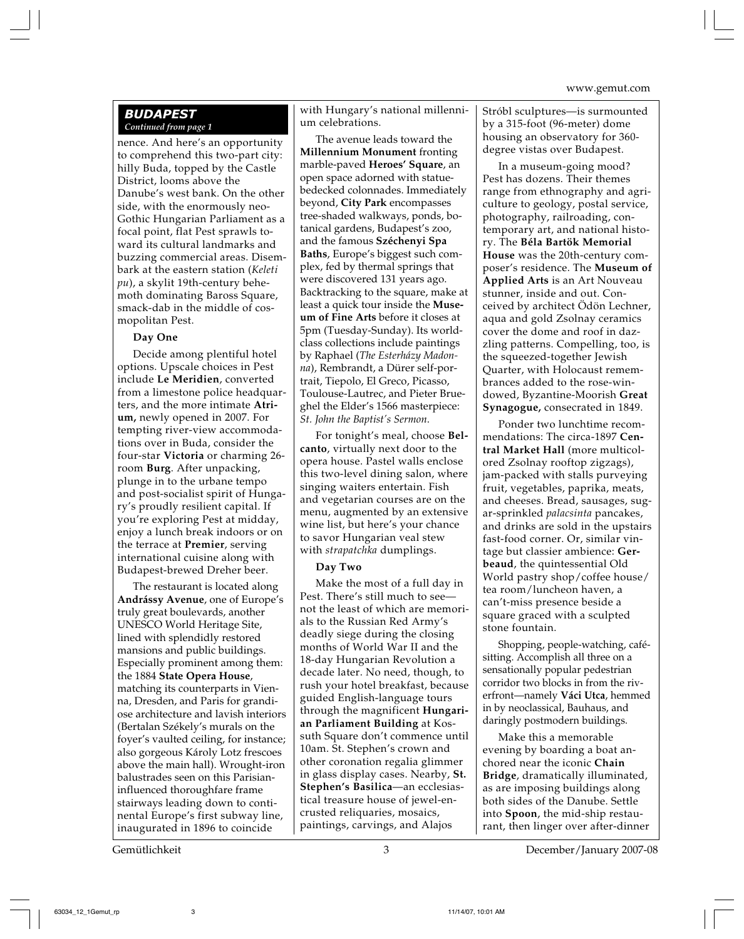#### *BUDAPEST Continued from page 1*

nence. And here's an opportunity to comprehend this two-part city: hilly Buda, topped by the Castle District, looms above the Danube's west bank. On the other side, with the enormously neo-Gothic Hungarian Parliament as a focal point, flat Pest sprawls toward its cultural landmarks and buzzing commercial areas. Disembark at the eastern station (*Keleti pu*), a skylit 19th-century behemoth dominating Baross Square, smack-dab in the middle of cosmopolitan Pest.

#### **Day One**

Decide among plentiful hotel options. Upscale choices in Pest include **Le Meridien**, converted from a limestone police headquarters, and the more intimate **Atrium,** newly opened in 2007. For tempting river-view accommodations over in Buda, consider the four-star **Victoria** or charming 26 room **Burg**. After unpacking, plunge in to the urbane tempo and post-socialist spirit of Hungary's proudly resilient capital. If you're exploring Pest at midday, enjoy a lunch break indoors or on the terrace at **Premier**, serving international cuisine along with Budapest-brewed Dreher beer.

The restaurant is located along **Andrássy Avenue**, one of Europe's truly great boulevards, another UNESCO World Heritage Site, lined with splendidly restored mansions and public buildings. Especially prominent among them: the 1884 **State Opera House**, matching its counterparts in Vienna, Dresden, and Paris for grandiose architecture and lavish interiors (Bertalan Székely's murals on the foyer's vaulted ceiling, for instance; also gorgeous Károly Lotz frescoes above the main hall). Wrought-iron balustrades seen on this Parisianinfluenced thoroughfare frame stairways leading down to continental Europe's first subway line, inaugurated in 1896 to coincide

with Hungary's national millennium celebrations.

The avenue leads toward the **Millennium Monument** fronting marble-paved **Heroes' Square**, an open space adorned with statuebedecked colonnades. Immediately beyond, **City Park** encompasses tree-shaded walkways, ponds, botanical gardens, Budapest's zoo, and the famous **Széchenyi Spa Baths**, Europe's biggest such complex, fed by thermal springs that were discovered 131 years ago. Backtracking to the square, make at least a quick tour inside the **Museum of Fine Arts** before it closes at 5pm (Tuesday-Sunday). Its worldclass collections include paintings by Raphael (*The Esterházy Madonna*), Rembrandt, a Dürer self-portrait, Tiepolo, El Greco, Picasso, Toulouse-Lautrec, and Pieter Brueghel the Elder's 1566 masterpiece: *St. John the Baptist's Sermon*.

For tonight's meal, choose **Belcanto**, virtually next door to the opera house. Pastel walls enclose this two-level dining salon, where singing waiters entertain. Fish and vegetarian courses are on the menu, augmented by an extensive wine list, but here's your chance to savor Hungarian veal stew with *strapatchka* dumplings.

#### **Day Two**

Make the most of a full day in Pest. There's still much to see not the least of which are memorials to the Russian Red Army's deadly siege during the closing months of World War II and the 18-day Hungarian Revolution a decade later. No need, though, to rush your hotel breakfast, because guided English-language tours through the magnificent **Hungarian Parliament Building** at Kossuth Square don't commence until 10am. St. Stephen's crown and other coronation regalia glimmer in glass display cases. Nearby, **St. Stephen's Basilica**—an ecclesiastical treasure house of jewel-encrusted reliquaries, mosaics, paintings, carvings, and Alajos

Stróbl sculptures—is surmounted by a 315-foot (96-meter) dome housing an observatory for 360 degree vistas over Budapest.

In a museum-going mood? Pest has dozens. Their themes range from ethnography and agriculture to geology, postal service, photography, railroading, contemporary art, and national history. The **Béla Bartök Memorial House** was the 20th-century composer's residence. The **Museum of Applied Arts** is an Art Nouveau stunner, inside and out. Conceived by architect Ödön Lechner, aqua and gold Zsolnay ceramics cover the dome and roof in dazzling patterns. Compelling, too, is the squeezed-together Jewish Quarter, with Holocaust remembrances added to the rose-windowed, Byzantine-Moorish **Great Synagogue,** consecrated in 1849.

Ponder two lunchtime recommendations: The circa-1897 **Central Market Hall** (more multicolored Zsolnay rooftop zigzags), jam-packed with stalls purveying fruit, vegetables, paprika, meats, and cheeses. Bread, sausages, sugar-sprinkled *palacsinta* pancakes, and drinks are sold in the upstairs fast-food corner. Or, similar vintage but classier ambience: **Gerbeaud**, the quintessential Old World pastry shop/coffee house/ tea room/luncheon haven, a can't-miss presence beside a square graced with a sculpted stone fountain.

Shopping, people-watching, cafésitting. Accomplish all three on a sensationally popular pedestrian corridor two blocks in from the riverfront—namely **Váci Utca**, hemmed in by neoclassical, Bauhaus, and daringly postmodern buildings.

Make this a memorable evening by boarding a boat anchored near the iconic **Chain Bridge**, dramatically illuminated, as are imposing buildings along both sides of the Danube. Settle into **Spoon**, the mid-ship restaurant, then linger over after-dinner

Gemütlichkeit 3 December/January 2007-08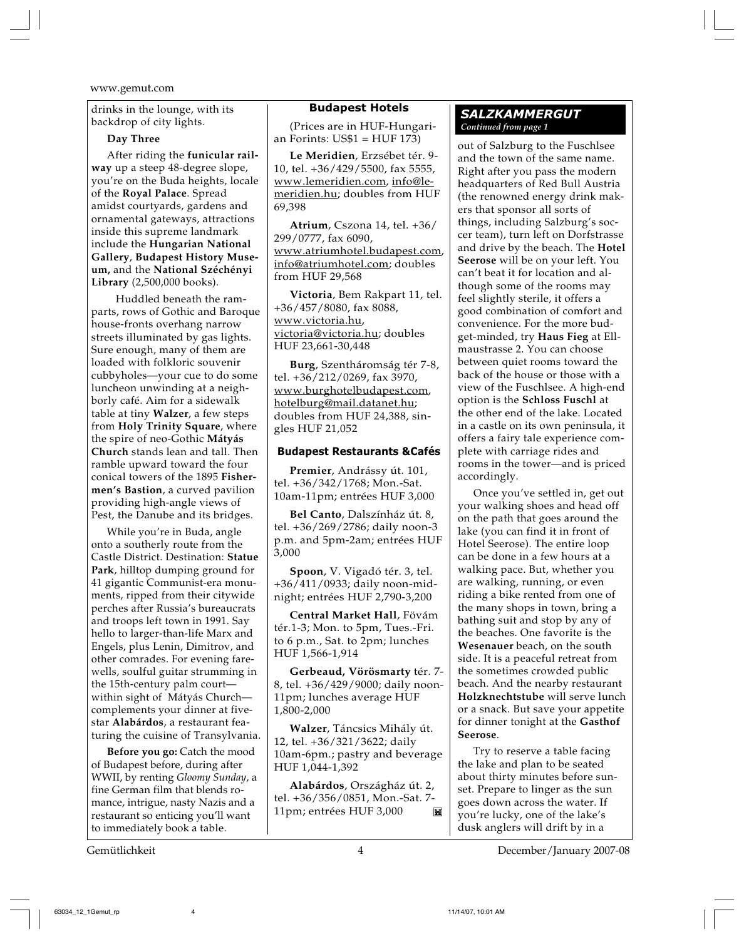drinks in the lounge, with its backdrop of city lights.

#### **Day Three**

After riding the **funicular railway** up a steep 48-degree slope, you're on the Buda heights, locale of the **Royal Palace**. Spread amidst courtyards, gardens and ornamental gateways, attractions inside this supreme landmark include the **Hungarian National Gallery**, **Budapest History Museum,** and the **National Széchényi Library** (2,500,000 books).

 Huddled beneath the ramparts, rows of Gothic and Baroque house-fronts overhang narrow streets illuminated by gas lights. Sure enough, many of them are loaded with folkloric souvenir cubbyholes—your cue to do some luncheon unwinding at a neighborly café. Aim for a sidewalk table at tiny **Walzer**, a few steps from **Holy Trinity Square**, where the spire of neo-Gothic **Mátyás Church** stands lean and tall. Then ramble upward toward the four conical towers of the 1895 **Fishermen's Bastion**, a curved pavilion providing high-angle views of Pest, the Danube and its bridges.

While you're in Buda, angle onto a southerly route from the Castle District. Destination: **Statue Park**, hilltop dumping ground for 41 gigantic Communist-era monuments, ripped from their citywide perches after Russia's bureaucrats and troops left town in 1991. Say hello to larger-than-life Marx and Engels, plus Lenin, Dimitrov, and other comrades. For evening farewells, soulful guitar strumming in the 15th-century palm court within sight of Mátyás Church complements your dinner at fivestar **Alabárdos**, a restaurant featuring the cuisine of Transylvania.

**Before you go:** Catch the mood of Budapest before, during after WWII, by renting *Gloomy Sunday*, a fine German film that blends romance, intrigue, nasty Nazis and a restaurant so enticing you'll want to immediately book a table.

#### **Budapest Hotels**

(Prices are in HUF-Hungarian Forints: US\$1 = HUF 173)

**Le Meridien**, Erzsébet tér. 9- 10, tel. +36/429/5500, fax 5555, www.lemeridien.com, info@lemeridien.hu; doubles from HUF 69,398

**Atrium**, Cszona 14, tel. +36/ 299/0777, fax 6090, www.atriumhotel.budapest.com, info@atriumhotel.com; doubles from HUF 29,568

**Victoria**, Bem Rakpart 11, tel. +36/457/8080, fax 8088, www.victoria.hu, victoria@victoria.hu; doubles HUF 23,661-30,448

**Burg**, Szentháromság tér 7-8, tel. +36/212/0269, fax 3970, www.burghotelbudapest.com, hotelburg@mail.datanet.hu; doubles from HUF 24,388, singles HUF 21,052

#### **Budapest Restaurants &Cafés**

**Premier**, Andrássy út. 101, tel. +36/342/1768; Mon.-Sat. 10am-11pm; entrées HUF 3,000

**Bel Canto**, Dalszínház út. 8, tel. +36/269/2786; daily noon-3 p.m. and 5pm-2am; entrées HUF 3,000

**Spoon**, V. Vigadó tér. 3, tel. +36/411/0933; daily noon-midnight; entrées HUF 2,790-3,200

**Central Market Hall**, Fövám tér.1-3; Mon. to 5pm, Tues.-Fri. to 6 p.m., Sat. to 2pm; lunches HUF 1,566-1,914

**Gerbeaud, Vörösmarty** tér. 7- 8, tel. +36/429/9000; daily noon-11pm; lunches average HUF 1,800-2,000

**Walzer**, Táncsics Mihály út. 12, tel. +36/321/3622; daily 10am-6pm.; pastry and beverage HUF 1,044-1,392

**Alabárdos**, Országház út. 2, tel. +36/356/0851, Mon.-Sat. 7- 11pm; entrées HUF 3,000  $\mathbf{M}$ 

#### *SALZKAMMERGUT Continued from page 1*

out of Salzburg to the Fuschlsee and the town of the same name. Right after you pass the modern headquarters of Red Bull Austria (the renowned energy drink makers that sponsor all sorts of things, including Salzburg's soccer team), turn left on Dorfstrasse and drive by the beach. The **Hotel Seerose** will be on your left. You can't beat it for location and although some of the rooms may feel slightly sterile, it offers a good combination of comfort and convenience. For the more budget-minded, try **Haus Fieg** at Ellmaustrasse 2. You can choose between quiet rooms toward the back of the house or those with a view of the Fuschlsee. A high-end option is the **Schloss Fuschl** at the other end of the lake. Located in a castle on its own peninsula, it offers a fairy tale experience complete with carriage rides and rooms in the tower—and is priced accordingly.

Once you've settled in, get out your walking shoes and head off on the path that goes around the lake (you can find it in front of Hotel Seerose). The entire loop can be done in a few hours at a walking pace. But, whether you are walking, running, or even riding a bike rented from one of the many shops in town, bring a bathing suit and stop by any of the beaches. One favorite is the **Wesenauer** beach, on the south side. It is a peaceful retreat from the sometimes crowded public beach. And the nearby restaurant **Holzknechtstube** will serve lunch or a snack. But save your appetite for dinner tonight at the **Gasthof Seerose**.

Try to reserve a table facing the lake and plan to be seated about thirty minutes before sunset. Prepare to linger as the sun goes down across the water. If you're lucky, one of the lake's dusk anglers will drift by in a

Gemütlichkeit 4 December/January 2007-08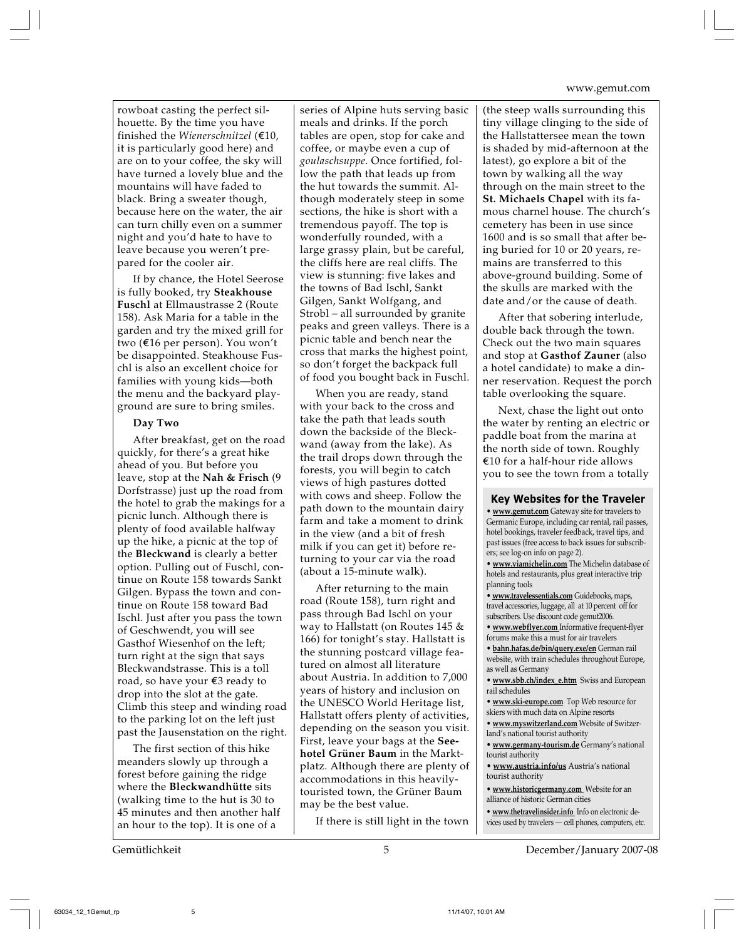rowboat casting the perfect silhouette. By the time you have finished the *Wienerschnitzel* ( $\notin$ 10, it is particularly good here) and are on to your coffee, the sky will have turned a lovely blue and the mountains will have faded to black. Bring a sweater though, because here on the water, the air can turn chilly even on a summer night and you'd hate to have to leave because you weren't prepared for the cooler air.

If by chance, the Hotel Seerose is fully booked, try **Steakhouse Fuschl** at Ellmaustrasse 2 (Route 158). Ask Maria for a table in the garden and try the mixed grill for two (€16 per person). You won't be disappointed. Steakhouse Fuschl is also an excellent choice for families with young kids—both the menu and the backyard playground are sure to bring smiles.

#### **Day Two**

After breakfast, get on the road quickly, for there's a great hike ahead of you. But before you leave, stop at the **Nah & Frisch** (9 Dorfstrasse) just up the road from the hotel to grab the makings for a picnic lunch. Although there is plenty of food available halfway up the hike, a picnic at the top of the **Bleckwand** is clearly a better option. Pulling out of Fuschl, continue on Route 158 towards Sankt Gilgen. Bypass the town and continue on Route 158 toward Bad Ischl. Just after you pass the town of Geschwendt, you will see Gasthof Wiesenhof on the left; turn right at the sign that says Bleckwandstrasse. This is a toll road, so have your  $E3$  ready to drop into the slot at the gate. Climb this steep and winding road to the parking lot on the left just past the Jausenstation on the right.

The first section of this hike meanders slowly up through a forest before gaining the ridge where the **Bleckwandhütte** sits (walking time to the hut is 30 to 45 minutes and then another half an hour to the top). It is one of a

series of Alpine huts serving basic meals and drinks. If the porch tables are open, stop for cake and coffee, or maybe even a cup of *goulaschsuppe*. Once fortified, follow the path that leads up from the hut towards the summit. Although moderately steep in some sections, the hike is short with a tremendous payoff. The top is wonderfully rounded, with a large grassy plain, but be careful, the cliffs here are real cliffs. The view is stunning: five lakes and the towns of Bad Ischl, Sankt Gilgen, Sankt Wolfgang, and Strobl – all surrounded by granite peaks and green valleys. There is a picnic table and bench near the cross that marks the highest point, so don't forget the backpack full of food you bought back in Fuschl.

When you are ready, stand with your back to the cross and take the path that leads south down the backside of the Bleckwand (away from the lake). As the trail drops down through the forests, you will begin to catch views of high pastures dotted with cows and sheep. Follow the path down to the mountain dairy farm and take a moment to drink in the view (and a bit of fresh milk if you can get it) before returning to your car via the road (about a 15-minute walk).

After returning to the main road (Route 158), turn right and pass through Bad Ischl on your way to Hallstatt (on Routes 145 & 166) for tonight's stay. Hallstatt is the stunning postcard village featured on almost all literature about Austria. In addition to 7,000 years of history and inclusion on the UNESCO World Heritage list, Hallstatt offers plenty of activities, depending on the season you visit. First, leave your bags at the **Seehotel Grüner Baum** in the Marktplatz. Although there are plenty of accommodations in this heavilytouristed town, the Grüner Baum may be the best value.

If there is still light in the town

(the steep walls surrounding this tiny village clinging to the side of the Hallstattersee mean the town is shaded by mid-afternoon at the latest), go explore a bit of the town by walking all the way through on the main street to the **St. Michaels Chapel** with its famous charnel house. The church's cemetery has been in use since 1600 and is so small that after being buried for 10 or 20 years, remains are transferred to this above-ground building. Some of the skulls are marked with the date and/or the cause of death.

After that sobering interlude, double back through the town. Check out the two main squares and stop at **Gasthof Zauner** (also a hotel candidate) to make a dinner reservation. Request the porch table overlooking the square.

Next, chase the light out onto the water by renting an electric or paddle boat from the marina at the north side of town. Roughly  $€10$  for a half-hour ride allows you to see the town from a totally

**Key Websites for the Traveler**

**• www.gemut.com** Gateway site for travelers to Germanic Europe, including car rental, rail passes, hotel bookings, traveler feedback, travel tips, and past issues (free access to back issues for subscribers; see log-on info on page 2). **• www.viamichelin.com** The Michelin database of hotels and restaurants, plus great interactive trip planning tools **• www.travelessentials.com** Guidebooks, maps, travel accessories, luggage, all at 10 percent off for subscribers. Use discount code gemut2006. **• www.webflyer.com** Informative frequent-flyer forums make this a must for air travelers **• bahn.hafas.de/bin/query.exe/en** German rail website, with train schedules throughout Europe, as well as Germany **• www.sbb.ch/index\_e.htm** Swiss and European rail schedules **• www.ski-europe.com** Top Web resource for skiers with much data on Alpine resorts **• www.myswitzerland.com** Website of Switzerland's national tourist authority **• www.germany-tourism.de** Germany's national tourist authority **• www.austria.info/us** Austria's national tourist authority

**• www.historicgermany.com** Website for an alliance of historic German cities

**• www.thetravelinsider.info** Info on electronic devices used by travelers — cell phones, computers, etc.

Gemütlichkeit 5 December/January 2007-08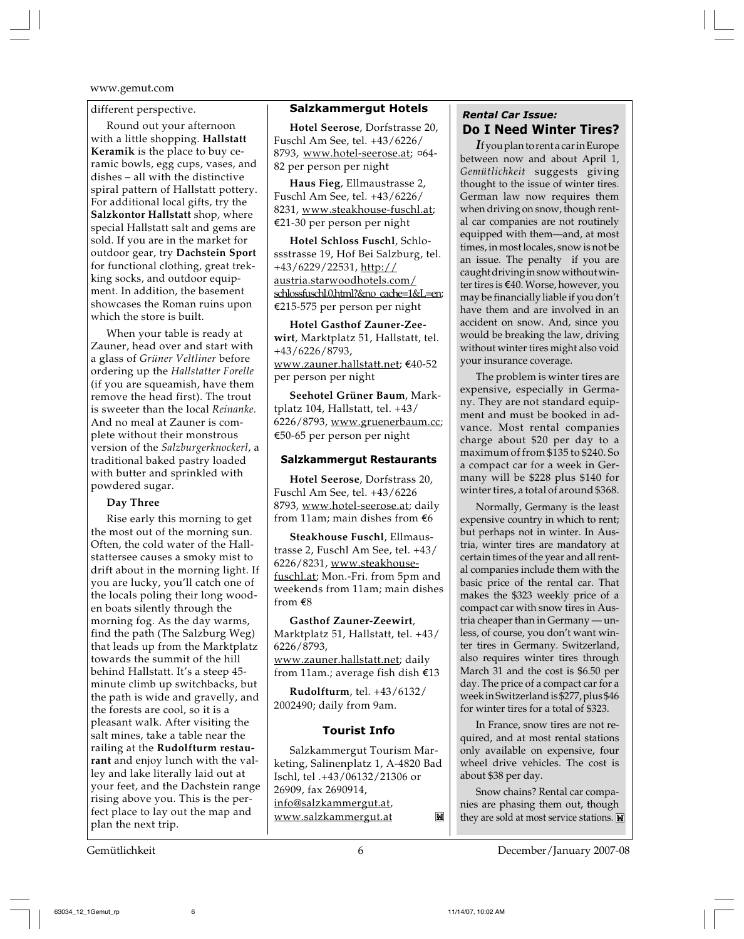#### different perspective.

Round out your afternoon with a little shopping. **Hallstatt Keramik** is the place to buy ceramic bowls, egg cups, vases, and dishes – all with the distinctive spiral pattern of Hallstatt pottery. For additional local gifts, try the **Salzkontor Hallstatt** shop, where special Hallstatt salt and gems are sold. If you are in the market for outdoor gear, try **Dachstein Sport** for functional clothing, great trekking socks, and outdoor equipment. In addition, the basement showcases the Roman ruins upon which the store is built.

When your table is ready at Zauner, head over and start with a glass of *Grüner Veltliner* before ordering up the *Hallstatter Forelle* (if you are squeamish, have them remove the head first). The trout is sweeter than the local *Reinanke.* And no meal at Zauner is complete without their monstrous version of the *Salzburgerknockerl*, a traditional baked pastry loaded with butter and sprinkled with powdered sugar.

#### **Day Three**

Rise early this morning to get the most out of the morning sun. Often, the cold water of the Hallstattersee causes a smoky mist to drift about in the morning light. If you are lucky, you'll catch one of the locals poling their long wooden boats silently through the morning fog. As the day warms, find the path (The Salzburg Weg) that leads up from the Marktplatz towards the summit of the hill behind Hallstatt. It's a steep 45 minute climb up switchbacks, but the path is wide and gravelly, and the forests are cool, so it is a pleasant walk. After visiting the salt mines, take a table near the railing at the **Rudolfturm restaurant** and enjoy lunch with the valley and lake literally laid out at your feet, and the Dachstein range rising above you. This is the perfect place to lay out the map and plan the next trip.

#### **Salzkammergut Hotels**

**Hotel Seerose**, Dorfstrasse 20, Fuschl Am See, tel. +43/6226/ 8793, www.hotel-seerose.at; ¤64- 82 per person per night

**Haus Fieg**, Ellmaustrasse 2, Fuschl Am See, tel. +43/6226/ 8231, www.steakhouse-fuschl.at; ¤21-30 per person per night

**Hotel Schloss Fuschl**, Schlossstrasse 19, Hof Bei Salzburg, tel. +43/6229/22531, http:// austria.starwoodhotels.com/ schlossfuschl.0.html?&no\_cache=1&L=en; ¤215-575 per person per night

**Hotel Gasthof Zauner-Zeewirt**, Marktplatz 51, Hallstatt, tel. +43/6226/8793, www.zauner.hallstatt.net; €40-52 per person per night

**Seehotel Grüner Baum**, Marktplatz 104, Hallstatt, tel. +43/ 6226/8793, www.gruenerbaum.cc; ¤50-65 per person per night

#### **Salzkammergut Restaurants**

**Hotel Seerose**, Dorfstrass 20, Fuschl Am See, tel. +43/6226 8793, www.hotel-seerose.at; daily from 11am; main dishes from  $€6$ 

**Steakhouse Fuschl**, Ellmaustrasse 2, Fuschl Am See, tel. +43/ 6226/8231, www.steakhousefuschl.at; Mon.-Fri. from 5pm and weekends from 11am; main dishes from  $\epsilon$ 8

**Gasthof Zauner-Zeewirt**, Marktplatz 51, Hallstatt, tel. +43/ 6226/8793,

www.zauner.hallstatt.net; daily from 11am.; average fish dish  $€13$ 

**Rudolfturm**, tel. +43/6132/ 2002490; daily from 9am.

#### **Tourist Info**

Salzkammergut Tourism Marketing, Salinenplatz 1, A-4820 Bad Ischl, tel .+43/06132/21306 or 26909, fax 2690914, info@salzkammergut.at,  $\mathbf{M}$ www.salzkammergut.at

### *Rental Car Issue:* **Do I Need Winter Tires?**

*I*f you plan to rent a car in Europe between now and about April 1, *Gemütlichkeit* suggests giving thought to the issue of winter tires. German law now requires them when driving on snow, though rental car companies are not routinely equipped with them—and, at most times, in most locales, snow is not be an issue. The penalty if you are caught driving in snow without winter tires is €40. Worse, however, you may be financially liable if you don't have them and are involved in an accident on snow. And, since you would be breaking the law, driving without winter tires might also void your insurance coverage.

The problem is winter tires are expensive, especially in Germany. They are not standard equipment and must be booked in advance. Most rental companies charge about \$20 per day to a maximum of from \$135 to \$240. So a compact car for a week in Germany will be \$228 plus \$140 for winter tires, a total of around \$368.

Normally, Germany is the least expensive country in which to rent; but perhaps not in winter. In Austria, winter tires are mandatory at certain times of the year and all rental companies include them with the basic price of the rental car. That makes the \$323 weekly price of a compact car with snow tires in Austria cheaper than in Germany — unless, of course, you don't want winter tires in Germany. Switzerland, also requires winter tires through March 31 and the cost is \$6.50 per day. The price of a compact car for a week in Switzerland is \$277, plus \$46 for winter tires for a total of \$323.

In France, snow tires are not required, and at most rental stations only available on expensive, four wheel drive vehicles. The cost is about \$38 per day.

Snow chains? Rental car companies are phasing them out, though they are sold at most service stations.

Gemütlichkeit 6 December/January 2007-08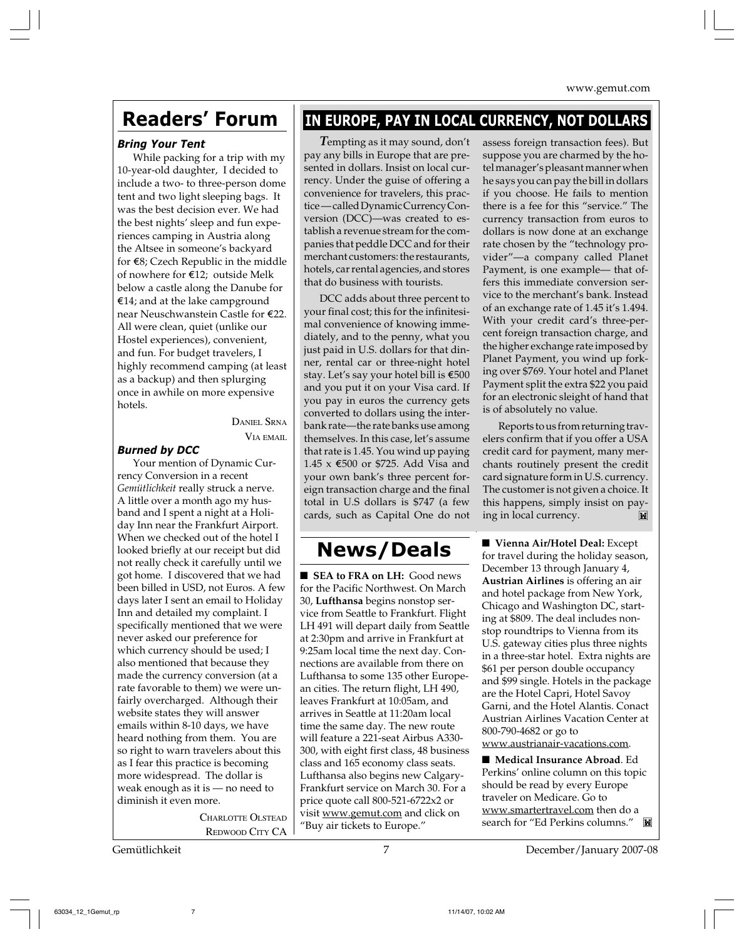## **Readers' Forum**

#### *Bring Your Tent*

While packing for a trip with my 10-year-old daughter, I decided to include a two- to three-person dome tent and two light sleeping bags. It was the best decision ever. We had the best nights' sleep and fun experiences camping in Austria along the Altsee in someone's backyard for E8; Czech Republic in the middle of nowhere for E12; outside Melk below a castle along the Danube for E14; and at the lake campground near Neuschwanstein Castle for E22. All were clean, quiet (unlike our Hostel experiences), convenient, and fun. For budget travelers, I highly recommend camping (at least as a backup) and then splurging once in awhile on more expensive hotels.

> DANIEL SRNA VIA EMAIL

#### *Burned by DCC*

Your mention of Dynamic Currency Conversion in a recent *Gemütlichkeit* really struck a nerve. A little over a month ago my husband and I spent a night at a Holiday Inn near the Frankfurt Airport. When we checked out of the hotel I looked briefly at our receipt but did not really check it carefully until we got home. I discovered that we had been billed in USD, not Euros. A few days later I sent an email to Holiday Inn and detailed my complaint. I specifically mentioned that we were never asked our preference for which currency should be used; I also mentioned that because they made the currency conversion (at a rate favorable to them) we were unfairly overcharged. Although their website states they will answer emails within 8-10 days, we have heard nothing from them. You are so right to warn travelers about this as I fear this practice is becoming more widespread. The dollar is weak enough as it is — no need to diminish it even more.

> CHARLOTTE OLSTEAD REDWOOD CITY CA

## **IN EUROPE, PAY IN LOCAL CURRENCY, NOT DOLLARS**

*T*empting as it may sound, don't pay any bills in Europe that are presented in dollars. Insist on local currency. Under the guise of offering a convenience for travelers, this practice — called Dynamic Currency Conversion (DCC)—was created to establish a revenue stream for the companies that peddle DCC and for their merchant customers: the restaurants, hotels, car rental agencies, and stores that do business with tourists.

DCC adds about three percent to your final cost; this for the infinitesimal convenience of knowing immediately, and to the penny, what you just paid in U.S. dollars for that dinner, rental car or three-night hotel stay. Let's say your hotel bill is  $\text{\textsterling}500$ and you put it on your Visa card. If you pay in euros the currency gets converted to dollars using the interbank rate—the rate banks use among themselves. In this case, let's assume that rate is 1.45. You wind up paying 1.45 x E500 or \$725. Add Visa and your own bank's three percent foreign transaction charge and the final total in U.S dollars is \$747 (a few cards, such as Capital One do not

### **News/Deals**

■ **SEA to FRA on LH:** Good news for the Pacific Northwest. On March 30, **Lufthansa** begins nonstop service from Seattle to Frankfurt. Flight LH 491 will depart daily from Seattle at 2:30pm and arrive in Frankfurt at 9:25am local time the next day. Connections are available from there on Lufthansa to some 135 other European cities. The return flight, LH 490, leaves Frankfurt at 10:05am, and arrives in Seattle at 11:20am local time the same day. The new route will feature a 221-seat Airbus A330- 300, with eight first class, 48 business class and 165 economy class seats. Lufthansa also begins new Calgary-Frankfurt service on March 30. For a price quote call 800-521-6722x2 or visit www.gemut.com and click on "Buy air tickets to Europe."

assess foreign transaction fees). But suppose you are charmed by the hotel manager's pleasant manner when he says you can pay the bill in dollars if you choose. He fails to mention there is a fee for this "service." The currency transaction from euros to dollars is now done at an exchange rate chosen by the "technology provider"—a company called Planet Payment, is one example— that offers this immediate conversion service to the merchant's bank. Instead of an exchange rate of 1.45 it's 1.494. With your credit card's three-percent foreign transaction charge, and the higher exchange rate imposed by Planet Payment, you wind up forking over \$769. Your hotel and Planet Payment split the extra \$22 you paid for an electronic sleight of hand that is of absolutely no value.

Reports to us from returning travelers confirm that if you offer a USA credit card for payment, many merchants routinely present the credit card signature form in U.S. currency. The customer is not given a choice. It this happens, simply insist on paying in local currency.

■ **Vienna Air/Hotel Deal:** Except for travel during the holiday season, December 13 through January 4, **Austrian Airlines** is offering an air and hotel package from New York, Chicago and Washington DC, starting at \$809. The deal includes nonstop roundtrips to Vienna from its U.S. gateway cities plus three nights in a three-star hotel. Extra nights are \$61 per person double occupancy and \$99 single. Hotels in the package are the Hotel Capri, Hotel Savoy Garni, and the Hotel Alantis. Conact Austrian Airlines Vacation Center at 800-790-4682 or go to www.austrianair-vacations.com.

■ **Medical Insurance Abroad**. Ed Perkins' online column on this topic should be read by every Europe traveler on Medicare. Go to www.smartertravel.com then do a search for "Ed Perkins columns."

Gemütlichkeit 7 December/January 2007-08